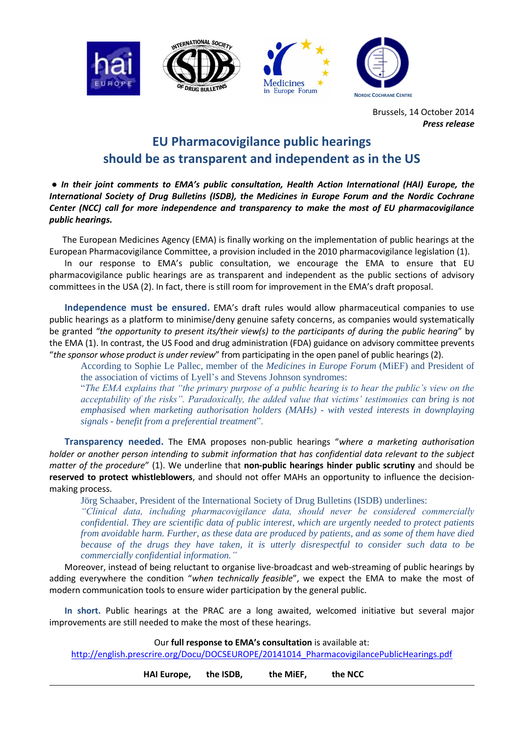







Brussels, 14 October 2014 *Press release* 

## **EU Pharmacovigilance public hearings should be as transparent and independent as in the US**

**●** *In their joint comments to EMA's public consultation, Health Action International (HAI) Europe, the International Society of Drug Bulletins (ISDB), the Medicines in Europe Forum and the Nordic Cochrane Center (NCC) call for more independence and transparency to make the most of EU pharmacovigilance public hearings.*

 The European Medicines Agency (EMA) is finally working on the implementation of public hearings at the European Pharmacovigilance Committee, a provision included in the 2010 pharmacovigilance legislation (1).

 In our response to EMA's public consultation, we encourage the EMA to ensure that EU pharmacovigilance public hearings are as transparent and independent as the public sections of advisory committees in the USA (2). In fact, there is still room for improvement in the EMA's draft proposal.

 **Independence must be ensured.** EMA's draft rules would allow pharmaceutical companies to use public hearings as a platform to minimise/deny genuine safety concerns, as companies would systematically be granted *"the opportunity to present its/their view(s) to the participants of during the public hearing*" by the EMA (1). In contrast, the US Food and drug administration (FDA) guidance on advisory committee prevents "*the sponsor whose product is under review*" from participating in the open panel of public hearings (2).

According to Sophie Le Pallec, member of the *Medicines in Europe Forum* (MiEF) and President of the association of victims of Lyell's and Stevens Johnson syndromes:

"*The EMA explains that "the primary purpose of a public hearing is to hear the public's view on the acceptability of the risks". Paradoxically, the added value that victims' testimonies can bring is not emphasised when marketing authorisation holders (MAHs) - with vested interests in downplaying signals - benefit from a preferential treatment*".

 **Transparency needed.** The EMA proposes non-public hearings "*where a marketing authorisation holder or another person intending to submit information that has confidential data relevant to the subject matter of the procedure*" (1). We underline that **non-public hearings hinder public scrutiny** and should be **reserved to protect whistleblowers**, and should not offer MAHs an opportunity to influence the decisionmaking process.

Jörg Schaaber, President of the International Society of Drug Bulletins (ISDB) underlines:

*"Clinical data, including pharmacovigilance data, should never be considered commercially confidential. They are scientific data of public interest, which are urgently needed to protect patients from avoidable harm. Further, as these data are produced by patients, and as some of them have died because of the drugs they have taken, it is utterly disrespectful to consider such data to be commercially confidential information."*

 Moreover, instead of being reluctant to organise live-broadcast and web-streaming of public hearings by adding everywhere the condition "*when technically feasible*", we expect the EMA to make the most of modern communication tools to ensure wider participation by the general public.

 **In short.** Public hearings at the PRAC are a long awaited, welcomed initiative but several major improvements are still needed to make the most of these hearings.

Our **full response to EMA's consultation** is available at:

[http://english.prescrire.org/Docu/DOCSEUROPE/20141014\\_PharmacovigilancePublicHearings.pdf](http://english.prescrire.org/Docu/DOCSEUROPE/20141014_PharmacovigilancePublicHearings.pdf) 

**HAI Europe, the ISDB, the MiEF, the NCC**